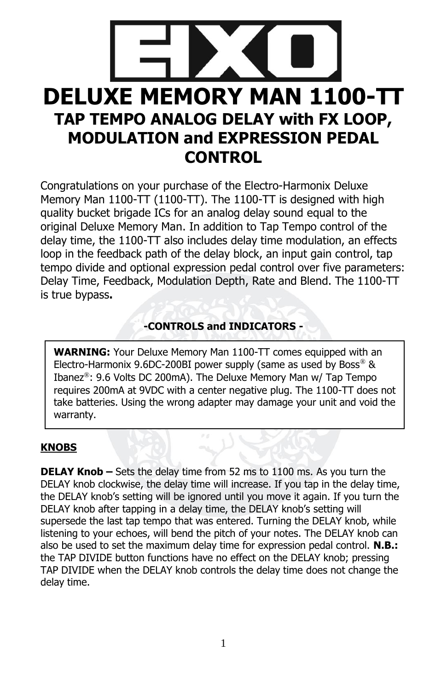

Congratulations on your purchase of the Electro-Harmonix Deluxe Memory Man 1100-TT (1100-TT). The 1100-TT is designed with high quality bucket brigade ICs for an analog delay sound equal to the original Deluxe Memory Man. In addition to Tap Tempo control of the delay time, the 1100-TT also includes delay time modulation, an effects loop in the feedback path of the delay block, an input gain control, tap tempo divide and optional expression pedal control over five parameters: Delay Time, Feedback, Modulation Depth, Rate and Blend. The 1100-TT is true bypass**.**

# **-CONTROLS and INDICATORS -**

**WARNING:** Your Deluxe Memory Man 1100-TT comes equipped with an Electro-Harmonix 9.6DC-200BI power supply (same as used by Boss®  $\&$ Ibanez®: 9.6 Volts DC 200mA). The Deluxe Memory Man w/ Tap Tempo requires 200mA at 9VDC with a center negative plug. The 1100-TT does not take batteries. Using the wrong adapter may damage your unit and void the warranty.

#### **KNOBS**

**DELAY Knob –** Sets the delay time from 52 ms to 1100 ms. As you turn the DELAY knob clockwise, the delay time will increase. If you tap in the delay time, the DELAY knob's setting will be ignored until you move it again. If you turn the DELAY knob after tapping in a delay time, the DELAY knob's setting will supersede the last tap tempo that was entered. Turning the DELAY knob, while listening to your echoes, will bend the pitch of your notes. The DELAY knob can also be used to set the maximum delay time for expression pedal control. **N.B.:** the TAP DIVIDE button functions have no effect on the DELAY knob; pressing TAP DIVIDE when the DELAY knob controls the delay time does not change the delay time.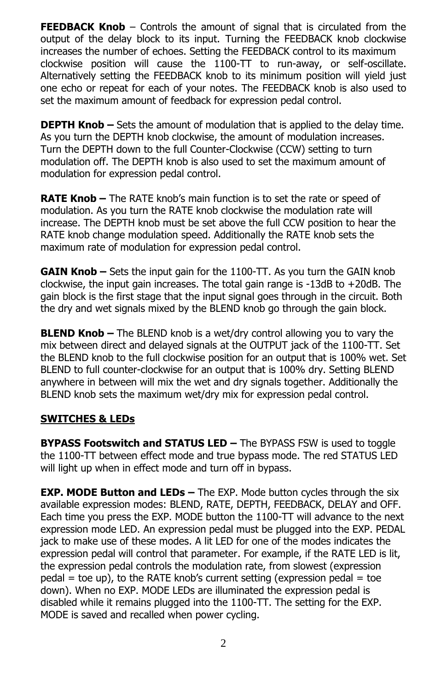**FEEDBACK Knob** – Controls the amount of signal that is circulated from the output of the delay block to its input. Turning the FEEDBACK knob clockwise increases the number of echoes. Setting the FEEDBACK control to its maximum clockwise position will cause the 1100-TT to run-away, or self-oscillate. Alternatively setting the FEEDBACK knob to its minimum position will yield just one echo or repeat for each of your notes. The FEEDBACK knob is also used to set the maximum amount of feedback for expression pedal control.

**DEPTH Knob –** Sets the amount of modulation that is applied to the delay time. As you turn the DEPTH knob clockwise, the amount of modulation increases. Turn the DEPTH down to the full Counter-Clockwise (CCW) setting to turn modulation off. The DEPTH knob is also used to set the maximum amount of modulation for expression pedal control.

**RATE Knob –** The RATE knob's main function is to set the rate or speed of modulation. As you turn the RATE knob clockwise the modulation rate will increase. The DEPTH knob must be set above the full CCW position to hear the RATE knob change modulation speed. Additionally the RATE knob sets the maximum rate of modulation for expression pedal control.

**GAIN Knob –** Sets the input gain for the 1100-TT. As you turn the GAIN knob clockwise, the input gain increases. The total gain range is -13dB to +20dB. The gain block is the first stage that the input signal goes through in the circuit. Both the dry and wet signals mixed by the BLEND knob go through the gain block.

**BLEND Knob –** The BLEND knob is a wet/dry control allowing you to vary the mix between direct and delayed signals at the OUTPUT jack of the 1100-TT. Set the BLEND knob to the full clockwise position for an output that is 100% wet. Set BLEND to full counter-clockwise for an output that is 100% dry. Setting BLEND anywhere in between will mix the wet and dry signals together. Additionally the BLEND knob sets the maximum wet/dry mix for expression pedal control.

#### **SWITCHES & LEDs**

**BYPASS Footswitch and STATUS LED –** The BYPASS FSW is used to toggle the 1100-TT between effect mode and true bypass mode. The red STATUS LED will light up when in effect mode and turn off in bypass.

**EXP. MODE Button and LEDs –** The EXP. Mode button cycles through the six available expression modes: BLEND, RATE, DEPTH, FEEDBACK, DELAY and OFF. Each time you press the EXP. MODE button the 1100-TT will advance to the next expression mode LED. An expression pedal must be plugged into the EXP. PEDAL jack to make use of these modes. A lit LED for one of the modes indicates the expression pedal will control that parameter. For example, if the RATE LED is lit, the expression pedal controls the modulation rate, from slowest (expression  $p$ edal = toe up), to the RATE knob's current setting (expression pedal = toe down). When no EXP. MODE LEDs are illuminated the expression pedal is disabled while it remains plugged into the 1100-TT. The setting for the EXP. MODE is saved and recalled when power cycling.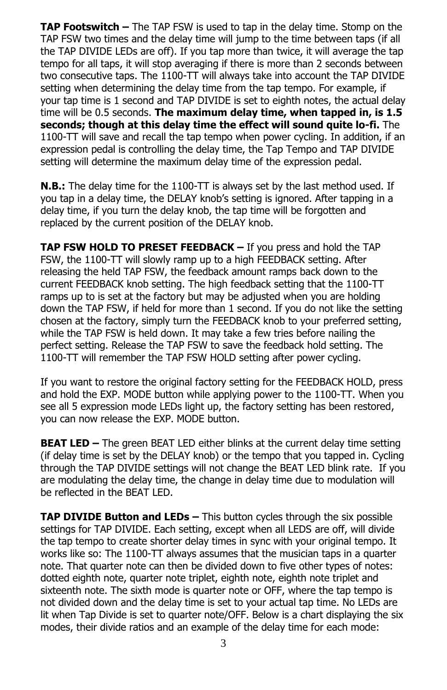**TAP Footswitch –** The TAP FSW is used to tap in the delay time. Stomp on the TAP FSW two times and the delay time will jump to the time between taps (if all the TAP DIVIDE LEDs are off). If you tap more than twice, it will average the tap tempo for all taps, it will stop averaging if there is more than 2 seconds between two consecutive taps. The 1100-TT will always take into account the TAP DIVIDE setting when determining the delay time from the tap tempo. For example, if your tap time is 1 second and TAP DIVIDE is set to eighth notes, the actual delay time will be 0.5 seconds. **The maximum delay time, when tapped in, is 1.5 seconds; though at this delay time the effect will sound quite lo-fi.** The 1100-TT will save and recall the tap tempo when power cycling. In addition, if an expression pedal is controlling the delay time, the Tap Tempo and TAP DIVIDE setting will determine the maximum delay time of the expression pedal.

**N.B.:** The delay time for the 1100-TT is always set by the last method used. If you tap in a delay time, the DELAY knob's setting is ignored. After tapping in a delay time, if you turn the delay knob, the tap time will be forgotten and replaced by the current position of the DELAY knob.

**TAP FSW HOLD TO PRESET FEEDBACK –** If you press and hold the TAP FSW, the 1100-TT will slowly ramp up to a high FEEDBACK setting. After releasing the held TAP FSW, the feedback amount ramps back down to the current FEEDBACK knob setting. The high feedback setting that the 1100-TT ramps up to is set at the factory but may be adjusted when you are holding down the TAP FSW, if held for more than 1 second. If you do not like the setting chosen at the factory, simply turn the FEEDBACK knob to your preferred setting, while the TAP FSW is held down. It may take a few tries before nailing the perfect setting. Release the TAP FSW to save the feedback hold setting. The 1100-TT will remember the TAP FSW HOLD setting after power cycling.

If you want to restore the original factory setting for the FEEDBACK HOLD, press and hold the EXP. MODE button while applying power to the 1100-TT. When you see all 5 expression mode LEDs light up, the factory setting has been restored, you can now release the EXP. MODE button.

**BEAT LED –** The green BEAT LED either blinks at the current delay time setting (if delay time is set by the DELAY knob) or the tempo that you tapped in. Cycling through the TAP DIVIDE settings will not change the BEAT LED blink rate. If you are modulating the delay time, the change in delay time due to modulation will be reflected in the BEAT LED.

**TAP DIVIDE Button and LEDs –** This button cycles through the six possible settings for TAP DIVIDE. Each setting, except when all LEDS are off, will divide the tap tempo to create shorter delay times in sync with your original tempo. It works like so: The 1100-TT always assumes that the musician taps in a quarter note. That quarter note can then be divided down to five other types of notes: dotted eighth note, quarter note triplet, eighth note, eighth note triplet and sixteenth note. The sixth mode is quarter note or OFF, where the tap tempo is not divided down and the delay time is set to your actual tap time. No LEDs are lit when Tap Divide is set to quarter note/OFF. Below is a chart displaying the six modes, their divide ratios and an example of the delay time for each mode: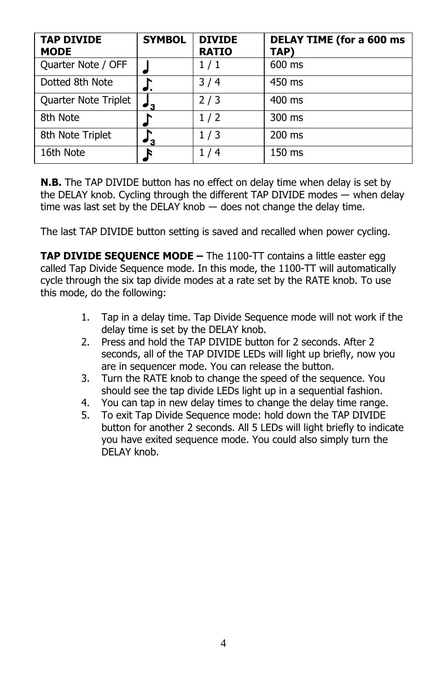| <b>TAP DIVIDE</b><br><b>MODE</b> | <b>SYMBOL</b> | <b>DIVIDE</b><br><b>RATIO</b> | <b>DELAY TIME (for a 600 ms</b><br>TAP) |
|----------------------------------|---------------|-------------------------------|-----------------------------------------|
| Quarter Note / OFF               |               | 1/1                           | 600 ms                                  |
| Dotted 8th Note                  |               | 3/4                           | 450 ms                                  |
| Quarter Note Triplet             | ۰,            | 2/3                           | $400$ ms                                |
| 8th Note                         |               | 1/2                           | $300 \text{ ms}$                        |
| 8th Note Triplet                 | '3            | 1/3                           | $200$ ms                                |
| 16th Note                        |               | 1/4                           | 150 ms                                  |

**N.B.** The TAP DIVIDE button has no effect on delay time when delay is set by the DELAY knob. Cycling through the different TAP DIVIDE modes ― when delay time was last set by the DELAY knob ― does not change the delay time.

The last TAP DIVIDE button setting is saved and recalled when power cycling.

**TAP DIVIDE SEQUENCE MODE –** The 1100-TT contains a little easter egg called Tap Divide Sequence mode. In this mode, the 1100-TT will automatically cycle through the six tap divide modes at a rate set by the RATE knob. To use this mode, do the following:

- 1. Tap in a delay time. Tap Divide Sequence mode will not work if the delay time is set by the DELAY knob.
- 2. Press and hold the TAP DIVIDE button for 2 seconds. After 2 seconds, all of the TAP DIVIDE LEDs will light up briefly, now you are in sequencer mode. You can release the button.
- 3. Turn the RATE knob to change the speed of the sequence. You should see the tap divide LEDs light up in a sequential fashion.
- 4. You can tap in new delay times to change the delay time range.
- 5. To exit Tap Divide Sequence mode: hold down the TAP DIVIDE button for another 2 seconds. All 5 LEDs will light briefly to indicate you have exited sequence mode. You could also simply turn the DELAY knob.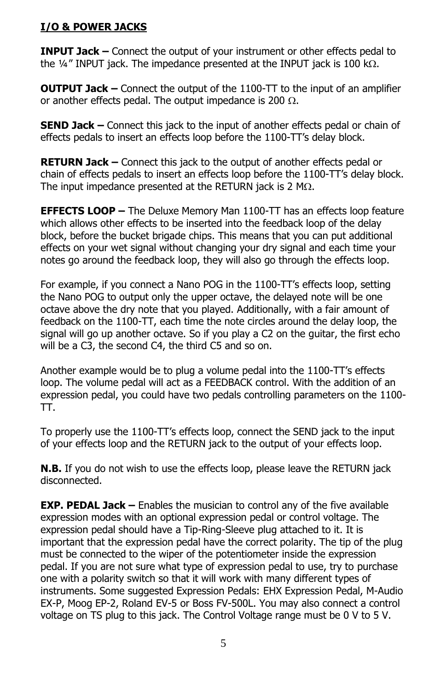# **I/O & POWER JACKS**

**INPUT Jack –** Connect the output of your instrument or other effects pedal to the  $\frac{1}{4}$ " INPUT jack. The impedance presented at the INPUT jack is 100 k $\Omega$ .

**OUTPUT Jack –** Connect the output of the 1100-TT to the input of an amplifier or another effects pedal. The output impedance is 200  $\Omega$ .

**SEND Jack –** Connect this jack to the input of another effects pedal or chain of effects pedals to insert an effects loop before the 1100-TT's delay block.

**RETURN Jack –** Connect this jack to the output of another effects pedal or chain of effects pedals to insert an effects loop before the 1100-TT's delay block. The input impedance presented at the RETURN jack is 2 M $\Omega$ .

**EFFECTS LOOP –** The Deluxe Memory Man 1100-TT has an effects loop feature which allows other effects to be inserted into the feedback loop of the delay block, before the bucket brigade chips. This means that you can put additional effects on your wet signal without changing your dry signal and each time your notes go around the feedback loop, they will also go through the effects loop.

For example, if you connect a Nano POG in the 1100-TT's effects loop, setting the Nano POG to output only the upper octave, the delayed note will be one octave above the dry note that you played. Additionally, with a fair amount of feedback on the 1100-TT, each time the note circles around the delay loop, the signal will go up another octave. So if you play a C2 on the guitar, the first echo will be a C3, the second C4, the third C5 and so on.

Another example would be to plug a volume pedal into the 1100-TT's effects loop. The volume pedal will act as a FEEDBACK control. With the addition of an expression pedal, you could have two pedals controlling parameters on the 1100- TT.

To properly use the 1100-TT's effects loop, connect the SEND jack to the input of your effects loop and the RETURN jack to the output of your effects loop.

**N.B.** If you do not wish to use the effects loop, please leave the RETURN jack disconnected.

**EXP. PEDAL Jack –** Enables the musician to control any of the five available expression modes with an optional expression pedal or control voltage. The expression pedal should have a Tip-Ring-Sleeve plug attached to it. It is important that the expression pedal have the correct polarity. The tip of the plug must be connected to the wiper of the potentiometer inside the expression pedal. If you are not sure what type of expression pedal to use, try to purchase one with a polarity switch so that it will work with many different types of instruments. Some suggested Expression Pedals: EHX Expression Pedal, M-Audio EX-P, Moog EP-2, Roland EV-5 or Boss FV-500L. You may also connect a control voltage on TS plug to this jack. The Control Voltage range must be 0 V to 5 V.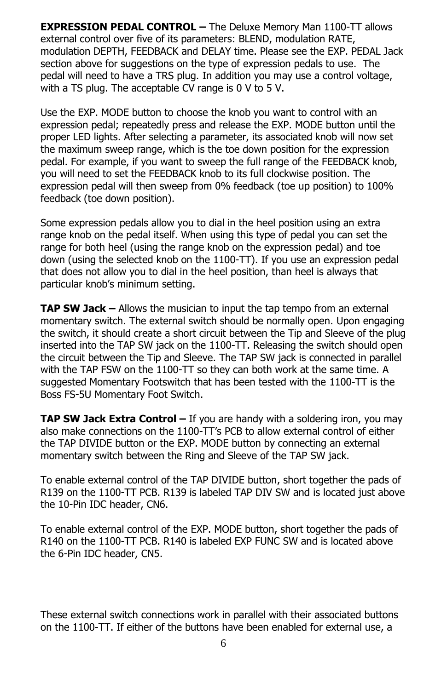**EXPRESSION PEDAL CONTROL –** The Deluxe Memory Man 1100-TT allows external control over five of its parameters: BLEND, modulation RATE, modulation DEPTH, FEEDBACK and DELAY time. Please see the EXP. PEDAL Jack section above for suggestions on the type of expression pedals to use. The pedal will need to have a TRS plug. In addition you may use a control voltage, with a TS plug. The acceptable CV range is 0 V to 5 V.

Use the EXP. MODE button to choose the knob you want to control with an expression pedal; repeatedly press and release the EXP. MODE button until the proper LED lights. After selecting a parameter, its associated knob will now set the maximum sweep range, which is the toe down position for the expression pedal. For example, if you want to sweep the full range of the FEEDBACK knob, you will need to set the FEEDBACK knob to its full clockwise position. The expression pedal will then sweep from 0% feedback (toe up position) to 100% feedback (toe down position).

Some expression pedals allow you to dial in the heel position using an extra range knob on the pedal itself. When using this type of pedal you can set the range for both heel (using the range knob on the expression pedal) and toe down (using the selected knob on the 1100-TT). If you use an expression pedal that does not allow you to dial in the heel position, than heel is always that particular knob's minimum setting.

**TAP SW Jack –** Allows the musician to input the tap tempo from an external momentary switch. The external switch should be normally open. Upon engaging the switch, it should create a short circuit between the Tip and Sleeve of the plug inserted into the TAP SW jack on the 1100-TT. Releasing the switch should open the circuit between the Tip and Sleeve. The TAP SW jack is connected in parallel with the TAP FSW on the 1100-TT so they can both work at the same time. A suggested Momentary Footswitch that has been tested with the 1100-TT is the Boss FS-5U Momentary Foot Switch.

**TAP SW Jack Extra Control –** If you are handy with a soldering iron, you may also make connections on the 1100-TT's PCB to allow external control of either the TAP DIVIDE button or the EXP. MODE button by connecting an external momentary switch between the Ring and Sleeve of the TAP SW jack.

To enable external control of the TAP DIVIDE button, short together the pads of R139 on the 1100-TT PCB. R139 is labeled TAP DIV SW and is located just above the 10-Pin IDC header, CN6.

To enable external control of the EXP. MODE button, short together the pads of R140 on the 1100-TT PCB. R140 is labeled EXP FUNC SW and is located above the 6-Pin IDC header, CN5.

These external switch connections work in parallel with their associated buttons on the 1100-TT. If either of the buttons have been enabled for external use, a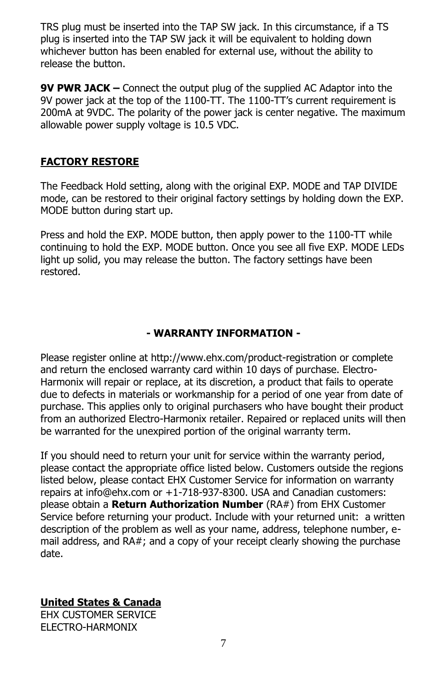TRS plug must be inserted into the TAP SW jack. In this circumstance, if a TS plug is inserted into the TAP SW jack it will be equivalent to holding down whichever button has been enabled for external use, without the ability to release the button.

**9V PWR JACK –** Connect the output plug of the supplied AC Adaptor into the 9V power jack at the top of the 1100-TT. The 1100-TT's current requirement is 200mA at 9VDC. The polarity of the power jack is center negative. The maximum allowable power supply voltage is 10.5 VDC.

### **FACTORY RESTORE**

The Feedback Hold setting, along with the original EXP. MODE and TAP DIVIDE mode, can be restored to their original factory settings by holding down the EXP. MODE button during start up.

Press and hold the EXP. MODE button, then apply power to the 1100-TT while continuing to hold the EXP. MODE button. Once you see all five EXP. MODE LEDs light up solid, you may release the button. The factory settings have been restored.

# **- WARRANTY INFORMATION -**

Please register online at http://www.ehx.com/product-registration or complete and return the enclosed warranty card within 10 days of purchase. Electro-Harmonix will repair or replace, at its discretion, a product that fails to operate due to defects in materials or workmanship for a period of one year from date of purchase. This applies only to original purchasers who have bought their product from an authorized Electro-Harmonix retailer. Repaired or replaced units will then be warranted for the unexpired portion of the original warranty term.

If you should need to return your unit for service within the warranty period, please contact the appropriate office listed below. Customers outside the regions listed below, please contact EHX Customer Service for information on warranty repairs at info@ehx.com or +1-718-937-8300. USA and Canadian customers: please obtain a **Return Authorization Number** (RA#) from EHX Customer Service before returning your product. Include with your returned unit: a written description of the problem as well as your name, address, telephone number, email address, and RA#; and a copy of your receipt clearly showing the purchase date.

# **United States & Canada**

EHX CUSTOMER SERVICE ELECTRO-HARMONIX